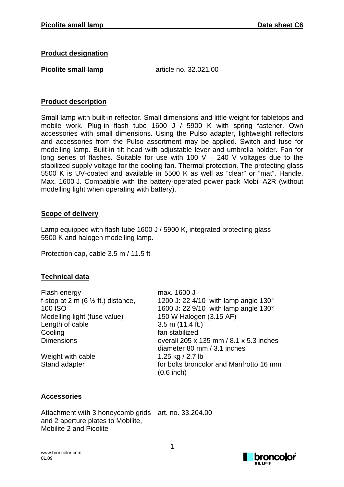#### **Product designation**

**Picolite small lamp** article no. 32.021.00

### **Product description**

Small lamp with built-in reflector. Small dimensions and little weight for tabletops and mobile work. Plug-in flash tube 1600 J / 5900 K with spring fastener. Own accessories with small dimensions. Using the Pulso adapter, lightweight reflectors and accessories from the Pulso assortment may be applied. Switch and fuse for modelling lamp. Built-in tilt head with adjustable lever and umbrella holder. Fan for long series of flashes. Suitable for use with 100 V – 240 V voltages due to the stabilized supply voltage for the cooling fan. Thermal protection. The protecting glass 5500 K is UV-coated and available in 5500 K as well as "clear" or "mat". Handle. Max. 1600 J. Compatible with the battery-operated power pack Mobil A2R (without modelling light when operating with battery).

### **Scope of delivery**

Lamp equipped with flash tube 1600 J / 5900 K, integrated protecting glass 5500 K and halogen modelling lamp.

Protection cap, cable 3.5 m / 11.5 ft

# **Technical data**

| max. 1600 J                                                            |
|------------------------------------------------------------------------|
| 1200 J: 22 4/10 with lamp angle $130^\circ$                            |
| 1600 J: 22 9/10 with lamp angle 130°                                   |
| 150 W Halogen (3.15 AF)                                                |
| $3.5$ m $(11.4$ ft.)                                                   |
| fan stabilized                                                         |
| overall 205 x 135 mm / 8.1 x 5.3 inches<br>diameter 80 mm / 3.1 inches |
| 1.25 kg / 2.7 lb                                                       |
| for bolts broncolor and Manfrotto 16 mm<br>$(0.6$ inch)                |
|                                                                        |

# **Accessories**

Attachment with 3 honeycomb grids art. no. 33.204.00 and 2 aperture plates to Mobilite, Mobilite 2 and Picolite